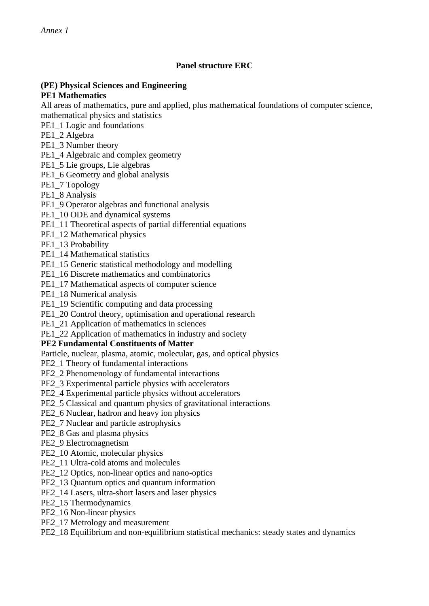# **Panel structure ERC**

#### **(PE) Physical Sciences and Engineering PE1 Mathematics**

All areas of mathematics, pure and applied, plus mathematical foundations of computer science, mathematical physics and statistics

- PE1\_1 Logic and foundations
- PE1\_2 Algebra
- PE1\_3 Number theory
- PE1\_4 Algebraic and complex geometry
- PE1\_5 Lie groups, Lie algebras
- PE1\_6 Geometry and global analysis
- PE1\_7 Topology
- PE1\_8 Analysis
- PE1\_9 Operator algebras and functional analysis
- PE1\_10 ODE and dynamical systems
- PE1\_11 Theoretical aspects of partial differential equations
- PE1\_12 Mathematical physics
- PE1\_13 Probability
- PE1\_14 Mathematical statistics
- PE1\_15 Generic statistical methodology and modelling
- PE1\_16 Discrete mathematics and combinatorics
- PE1\_17 Mathematical aspects of computer science
- PE1\_18 Numerical analysis
- PE1\_19 Scientific computing and data processing
- PE1\_20 Control theory, optimisation and operational research
- PE1\_21 Application of mathematics in sciences
- PE1\_22 Application of mathematics in industry and society

#### **PE2 Fundamental Constituents of Matter**

Particle, nuclear, plasma, atomic, molecular, gas, and optical physics

- PE2\_1 Theory of fundamental interactions
- PE2\_2 Phenomenology of fundamental interactions
- PE2\_3 Experimental particle physics with accelerators
- PE2\_4 Experimental particle physics without accelerators
- PE2\_5 Classical and quantum physics of gravitational interactions
- PE2\_6 Nuclear, hadron and heavy ion physics
- PE2\_7 Nuclear and particle astrophysics
- PE2\_8 Gas and plasma physics
- PE2\_9 Electromagnetism
- PE2\_10 Atomic, molecular physics
- PE2\_11 Ultra-cold atoms and molecules
- PE2\_12 Optics, non-linear optics and nano-optics
- PE2\_13 Quantum optics and quantum information
- PE2\_14 Lasers, ultra-short lasers and laser physics
- PE2\_15 Thermodynamics
- PE2\_16 Non-linear physics
- PE2\_17 Metrology and measurement
- PE2\_18 Equilibrium and non-equilibrium statistical mechanics: steady states and dynamics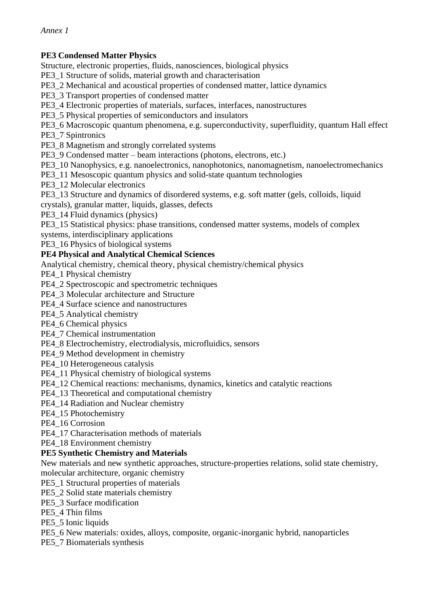# **PE3 Condensed Matter Physics**

Structure, electronic properties, fluids, nanosciences, biological physics

PE3\_1 Structure of solids, material growth and characterisation

PE3\_2 Mechanical and acoustical properties of condensed matter, lattice dynamics

PE3\_3 Transport properties of condensed matter

PE3\_4 Electronic properties of materials, surfaces, interfaces, nanostructures

PE3\_5 Physical properties of semiconductors and insulators

PE3\_6 Macroscopic quantum phenomena, e.g. superconductivity, superfluidity, quantum Hall effect

PE3\_7 Spintronics

PE3\_8 Magnetism and strongly correlated systems

PE3\_9 Condensed matter – beam interactions (photons, electrons, etc.)

PE3\_10 Nanophysics, e.g. nanoelectronics, nanophotonics, nanomagnetism, nanoelectromechanics

PE3\_11 Mesoscopic quantum physics and solid-state quantum technologies

PE3\_12 Molecular electronics

PE3\_13 Structure and dynamics of disordered systems, e.g. soft matter (gels, colloids, liquid

crystals), granular matter, liquids, glasses, defects

PE3\_14 Fluid dynamics (physics)

PE3\_15 Statistical physics: phase transitions, condensed matter systems, models of complex

systems, interdisciplinary applications

PE3\_16 Physics of biological systems

#### **PE4 Physical and Analytical Chemical Sciences**

Analytical chemistry, chemical theory, physical chemistry/chemical physics

PE4\_1 Physical chemistry

PE4\_2 Spectroscopic and spectrometric techniques

PE4\_3 Molecular architecture and Structure

PE4\_4 Surface science and nanostructures

PE4\_5 Analytical chemistry

PE4\_6 Chemical physics

- PE4\_7 Chemical instrumentation
- PE4\_8 Electrochemistry, electrodialysis, microfluidics, sensors
- PE4\_9 Method development in chemistry

PE4\_10 Heterogeneous catalysis

PE4\_11 Physical chemistry of biological systems

PE4\_12 Chemical reactions: mechanisms, dynamics, kinetics and catalytic reactions

PE4\_13 Theoretical and computational chemistry

PE4\_14 Radiation and Nuclear chemistry

PE4\_15 Photochemistry

PE4\_16 Corrosion

PE4\_17 Characterisation methods of materials

PE4\_18 Environment chemistry

## **PE5 Synthetic Chemistry and Materials**

New materials and new synthetic approaches, structure-properties relations, solid state chemistry, molecular architecture, organic chemistry

PE5\_1 Structural properties of materials

PE5\_2 Solid state materials chemistry

PE5\_3 Surface modification

PE5\_4 Thin films

PE5\_5 Ionic liquids

PE5\_6 New materials: oxides, alloys, composite, organic-inorganic hybrid, nanoparticles

PE5\_7 Biomaterials synthesis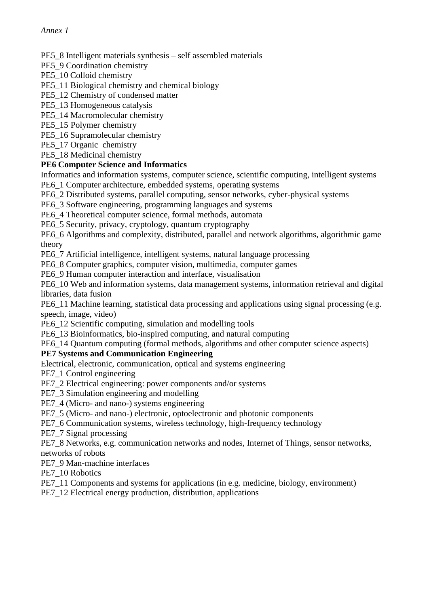#### PE5\_8 Intelligent materials synthesis – self assembled materials

PE5\_9 Coordination chemistry

PE5\_10 Colloid chemistry

#### PE5\_11 Biological chemistry and chemical biology

- PE5\_12 Chemistry of condensed matter
- PE5\_13 Homogeneous catalysis
- PE5\_14 Macromolecular chemistry
- PE5\_15 Polymer chemistry
- PE5\_16 Supramolecular chemistry
- PE5\_17 Organic chemistry

PE5\_18 Medicinal chemistry

## **PE6 Computer Science and Informatics**

Informatics and information systems, computer science, scientific computing, intelligent systems

- PE6\_1 Computer architecture, embedded systems, operating systems
- PE6\_2 Distributed systems, parallel computing, sensor networks, cyber-physical systems
- PE6\_3 Software engineering, programming languages and systems
- PE6\_4 Theoretical computer science, formal methods, automata

PE6\_5 Security, privacy, cryptology, quantum cryptography

PE6\_6 Algorithms and complexity, distributed, parallel and network algorithms, algorithmic game theory

PE6\_7 Artificial intelligence, intelligent systems, natural language processing

PE6\_8 Computer graphics, computer vision, multimedia, computer games

PE6\_9 Human computer interaction and interface, visualisation

PE6\_10 Web and information systems, data management systems, information retrieval and digital libraries, data fusion

PE6\_11 Machine learning, statistical data processing and applications using signal processing (e.g. speech, image, video)

PE6\_12 Scientific computing, simulation and modelling tools

PE6\_13 Bioinformatics, bio-inspired computing, and natural computing

# PE6\_14 Quantum computing (formal methods, algorithms and other computer science aspects)

# **PE7 Systems and Communication Engineering**

Electrical, electronic, communication, optical and systems engineering

PE7\_1 Control engineering

- PE7\_2 Electrical engineering: power components and/or systems
- PE7\_3 Simulation engineering and modelling
- PE7\_4 (Micro- and nano-) systems engineering
- PE7\_5 (Micro- and nano-) electronic, optoelectronic and photonic components
- PE7\_6 Communication systems, wireless technology, high-frequency technology

PE7\_7 Signal processing

PE7\_8 Networks, e.g. communication networks and nodes, Internet of Things, sensor networks, networks of robots

PE7\_9 Man-machine interfaces

PE7\_10 Robotics

PE7\_11 Components and systems for applications (in e.g. medicine, biology, environment)

PE7\_12 Electrical energy production, distribution, applications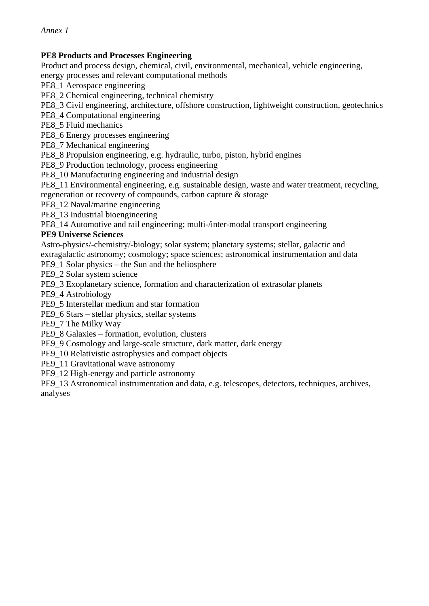### **PE8 Products and Processes Engineering**

Product and process design, chemical, civil, environmental, mechanical, vehicle engineering,

energy processes and relevant computational methods

PE8\_1 Aerospace engineering

PE8\_2 Chemical engineering, technical chemistry

PE8\_3 Civil engineering, architecture, offshore construction, lightweight construction, geotechnics

PE8\_4 Computational engineering

PE8\_5 Fluid mechanics

PE8\_6 Energy processes engineering

PE8\_7 Mechanical engineering

PE8\_8 Propulsion engineering, e.g. hydraulic, turbo, piston, hybrid engines

PE8\_9 Production technology, process engineering

PE8\_10 Manufacturing engineering and industrial design

PE8\_11 Environmental engineering, e.g. sustainable design, waste and water treatment, recycling, regeneration or recovery of compounds, carbon capture & storage

PE8\_12 Naval/marine engineering

PE8\_13 Industrial bioengineering

PE8\_14 Automotive and rail engineering; multi-/inter-modal transport engineering

#### **PE9 Universe Sciences**

Astro-physics/-chemistry/-biology; solar system; planetary systems; stellar, galactic and extragalactic astronomy; cosmology; space sciences; astronomical instrumentation and data

PE9\_1 Solar physics – the Sun and the heliosphere

PE9\_2 Solar system science

PE9\_3 Exoplanetary science, formation and characterization of extrasolar planets

PE9\_4 Astrobiology

PE9\_5 Interstellar medium and star formation

PE9\_6 Stars – stellar physics, stellar systems

PE9\_7 The Milky Way

PE9\_8 Galaxies – formation, evolution, clusters

PE9\_9 Cosmology and large-scale structure, dark matter, dark energy

PE9\_10 Relativistic astrophysics and compact objects

PE9\_11 Gravitational wave astronomy

PE9\_12 High-energy and particle astronomy

PE9\_13 Astronomical instrumentation and data, e.g. telescopes, detectors, techniques, archives, analyses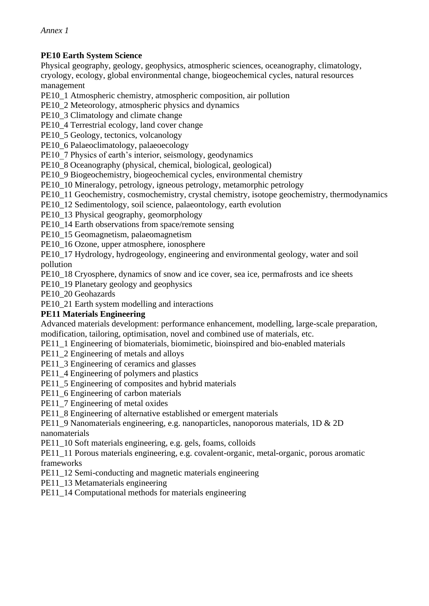# **PE10 Earth System Science**

Physical geography, geology, geophysics, atmospheric sciences, oceanography, climatology, cryology, ecology, global environmental change, biogeochemical cycles, natural resources management

PE10\_1 Atmospheric chemistry, atmospheric composition, air pollution

PE10\_2 Meteorology, atmospheric physics and dynamics

PE10\_3 Climatology and climate change

PE10\_4 Terrestrial ecology, land cover change

PE10\_5 Geology, tectonics, volcanology

PE10\_6 Palaeoclimatology, palaeoecology

PE10 7 Physics of earth's interior, seismology, geodynamics

PE10\_8 Oceanography (physical, chemical, biological, geological)

PE10\_9 Biogeochemistry, biogeochemical cycles, environmental chemistry

PE10\_10 Mineralogy, petrology, igneous petrology, metamorphic petrology

PE10 11 Geochemistry, cosmochemistry, crystal chemistry, isotope geochemistry, thermodynamics

PE10\_12 Sedimentology, soil science, palaeontology, earth evolution

PE10\_13 Physical geography, geomorphology

PE10\_14 Earth observations from space/remote sensing

PE10\_15 Geomagnetism, palaeomagnetism

PE10 16 Ozone, upper atmosphere, ionosphere

PE10\_17 Hydrology, hydrogeology, engineering and environmental geology, water and soil pollution

PE10\_18 Cryosphere, dynamics of snow and ice cover, sea ice, permafrosts and ice sheets

PE10\_19 Planetary geology and geophysics

PE10\_20 Geohazards

PE10\_21 Earth system modelling and interactions

## **PE11 Materials Engineering**

Advanced materials development: performance enhancement, modelling, large-scale preparation, modification, tailoring, optimisation, novel and combined use of materials, etc.

PE11\_1 Engineering of biomaterials, biomimetic, bioinspired and bio-enabled materials

PE11\_2 Engineering of metals and alloys

PE11\_3 Engineering of ceramics and glasses

PE11\_4 Engineering of polymers and plastics

PE11\_5 Engineering of composites and hybrid materials

PE11\_6 Engineering of carbon materials

PE11\_7 Engineering of metal oxides

PE11\_8 Engineering of alternative established or emergent materials

PE11\_9 Nanomaterials engineering, e.g. nanoparticles, nanoporous materials, 1D & 2D nanomaterials

PE11\_10 Soft materials engineering, e.g. gels, foams, colloids

PE11 11 Porous materials engineering, e.g. covalent-organic, metal-organic, porous aromatic frameworks

PE11\_12 Semi-conducting and magnetic materials engineering

PE11\_13 Metamaterials engineering

PE11\_14 Computational methods for materials engineering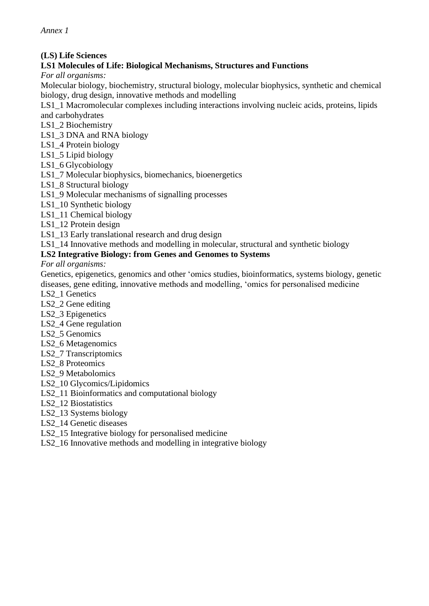#### **(LS) Life Sciences**

# **LS1 Molecules of Life: Biological Mechanisms, Structures and Functions**

*For all organisms:*

Molecular biology, biochemistry, structural biology, molecular biophysics, synthetic and chemical biology, drug design, innovative methods and modelling

LS1\_1 Macromolecular complexes including interactions involving nucleic acids, proteins, lipids and carbohydrates

- LS1\_2 Biochemistry
- LS1\_3 DNA and RNA biology
- LS1\_4 Protein biology
- LS1\_5 Lipid biology
- LS1\_6 Glycobiology
- LS1\_7 Molecular biophysics, biomechanics, bioenergetics
- LS1\_8 Structural biology
- LS1\_9 Molecular mechanisms of signalling processes
- LS1\_10 Synthetic biology
- LS1 11 Chemical biology
- LS1 12 Protein design
- LS1\_13 Early translational research and drug design
- LS1 14 Innovative methods and modelling in molecular, structural and synthetic biology

#### **LS2 Integrative Biology: from Genes and Genomes to Systems**

*For all organisms:*

Genetics, epigenetics, genomics and other 'omics studies, bioinformatics, systems biology, genetic diseases, gene editing, innovative methods and modelling, 'omics for personalised medicine

- LS2\_1 Genetics
- LS<sub>2</sub> 2 Gene editing
- LS2 3 Epigenetics
- LS2\_4 Gene regulation
- LS2 5 Genomics
- LS2\_6 Metagenomics
- LS2\_7 Transcriptomics
- LS2\_8 Proteomics
- LS2\_9 Metabolomics
- LS2\_10 Glycomics/Lipidomics
- LS2\_11 Bioinformatics and computational biology
- LS2\_12 Biostatistics
- LS2\_13 Systems biology
- LS2\_14 Genetic diseases
- LS2\_15 Integrative biology for personalised medicine
- LS2\_16 Innovative methods and modelling in integrative biology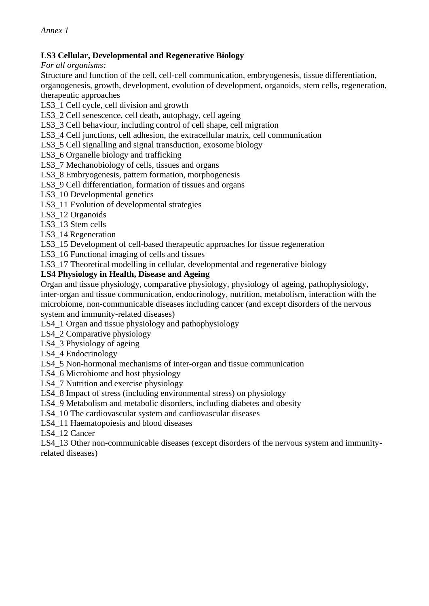#### **LS3 Cellular, Developmental and Regenerative Biology**

*For all organisms:*

Structure and function of the cell, cell-cell communication, embryogenesis, tissue differentiation, organogenesis, growth, development, evolution of development, organoids, stem cells, regeneration, therapeutic approaches

LS3\_1 Cell cycle, cell division and growth

LS3 2 Cell senescence, cell death, autophagy, cell ageing

LS3 3 Cell behaviour, including control of cell shape, cell migration

LS3\_4 Cell junctions, cell adhesion, the extracellular matrix, cell communication

LS3 5 Cell signalling and signal transduction, exosome biology

LS3 6 Organelle biology and trafficking

LS3 7 Mechanobiology of cells, tissues and organs

LS3\_8 Embryogenesis, pattern formation, morphogenesis

LS3\_9 Cell differentiation, formation of tissues and organs

LS3 10 Developmental genetics

LS3\_11 Evolution of developmental strategies

LS3\_12 Organoids

LS3 13 Stem cells

LS3\_14 Regeneration

LS3 15 Development of cell-based therapeutic approaches for tissue regeneration

LS3\_16 Functional imaging of cells and tissues

LS3\_17 Theoretical modelling in cellular, developmental and regenerative biology

#### **LS4 Physiology in Health, Disease and Ageing**

Organ and tissue physiology, comparative physiology, physiology of ageing, pathophysiology, inter-organ and tissue communication, endocrinology, nutrition, metabolism, interaction with the microbiome, non-communicable diseases including cancer (and except disorders of the nervous system and immunity-related diseases)

LS4\_1 Organ and tissue physiology and pathophysiology

LS4\_2 Comparative physiology

LS4\_3 Physiology of ageing

LS4\_4 Endocrinology

LS4\_5 Non-hormonal mechanisms of inter-organ and tissue communication

LS4\_6 Microbiome and host physiology

LS4 7 Nutrition and exercise physiology

LS4 8 Impact of stress (including environmental stress) on physiology

LS4 9 Metabolism and metabolic disorders, including diabetes and obesity

LS4\_10 The cardiovascular system and cardiovascular diseases

LS4\_11 Haematopoiesis and blood diseases

LS4 12 Cancer

LS4\_13 Other non-communicable diseases (except disorders of the nervous system and immunityrelated diseases)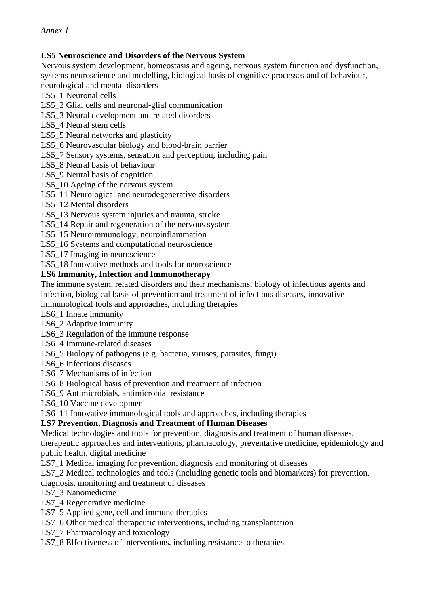#### **LS5 Neuroscience and Disorders of the Nervous System**

Nervous system development, homeostasis and ageing, nervous system function and dysfunction, systems neuroscience and modelling, biological basis of cognitive processes and of behaviour, neurological and mental disorders

LS5\_1 Neuronal cells

LS5\_2 Glial cells and neuronal-glial communication

- LS5\_3 Neural development and related disorders
- LS5 4 Neural stem cells
- LS5\_5 Neural networks and plasticity
- LS5 6 Neurovascular biology and blood-brain barrier
- LS5 7 Sensory systems, sensation and perception, including pain
- LS5 8 Neural basis of behaviour
- LS5\_9 Neural basis of cognition
- LS5\_10 Ageing of the nervous system
- LS5 11 Neurological and neurodegenerative disorders
- LS5\_12 Mental disorders
- LS5\_13 Nervous system injuries and trauma, stroke
- LS5 14 Repair and regeneration of the nervous system
- LS5\_15 Neuroimmunology, neuroinflammation
- LS5\_16 Systems and computational neuroscience
- LS5\_17 Imaging in neuroscience
- LS5\_18 Innovative methods and tools for neuroscience

#### **LS6 Immunity, Infection and Immunotherapy**

The immune system, related disorders and their mechanisms, biology of infectious agents and infection, biological basis of prevention and treatment of infectious diseases, innovative

immunological tools and approaches, including therapies

- LS6\_1 Innate immunity
- LS6\_2 Adaptive immunity
- LS6 3 Regulation of the immune response
- LS6\_4 Immune-related diseases
- LS6\_5 Biology of pathogens (e.g. bacteria, viruses, parasites, fungi)
- LS6 6 Infectious diseases
- LS6\_7 Mechanisms of infection
- LS6 8 Biological basis of prevention and treatment of infection
- LS6\_9 Antimicrobials, antimicrobial resistance
- LS6\_10 Vaccine development
- LS6 11 Innovative immunological tools and approaches, including therapies

#### **LS7 Prevention, Diagnosis and Treatment of Human Diseases**

Medical technologies and tools for prevention, diagnosis and treatment of human diseases, therapeutic approaches and interventions, pharmacology, preventative medicine, epidemiology and public health, digital medicine

LS7\_1 Medical imaging for prevention, diagnosis and monitoring of diseases

LS7\_2 Medical technologies and tools (including genetic tools and biomarkers) for prevention, diagnosis, monitoring and treatment of diseases

LS7\_3 Nanomedicine

LS7 4 Regenerative medicine

LS7 5 Applied gene, cell and immune therapies

LS7\_6 Other medical therapeutic interventions, including transplantation

LS7\_7 Pharmacology and toxicology

LS7\_8 Effectiveness of interventions, including resistance to therapies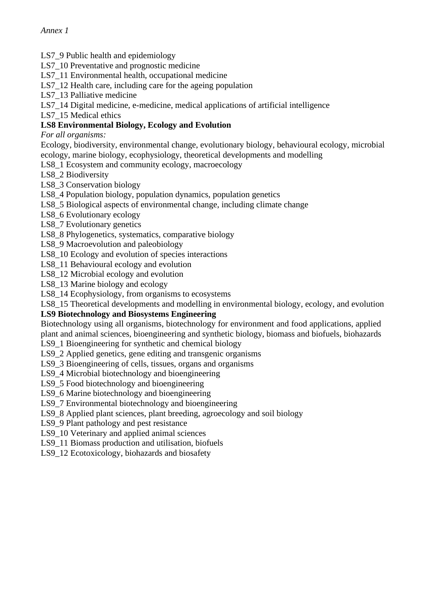- LS7 9 Public health and epidemiology
- LS7\_10 Preventative and prognostic medicine
- LS7 11 Environmental health, occupational medicine
- LS7\_12 Health care, including care for the ageing population
- LS7 13 Palliative medicine
- LS7\_14 Digital medicine, e-medicine, medical applications of artificial intelligence
- LS7 15 Medical ethics

# **LS8 Environmental Biology, Ecology and Evolution**

*For all organisms:*

Ecology, biodiversity, environmental change, evolutionary biology, behavioural ecology, microbial ecology, marine biology, ecophysiology, theoretical developments and modelling

- LS8\_1 Ecosystem and community ecology, macroecology
- LS8\_2 Biodiversity
- LS8\_3 Conservation biology
- LS8\_4 Population biology, population dynamics, population genetics
- LS8\_5 Biological aspects of environmental change, including climate change
- LS8 6 Evolutionary ecology
- LS8 7 Evolutionary genetics
- LS8\_8 Phylogenetics, systematics, comparative biology
- LS8\_9 Macroevolution and paleobiology
- LS8\_10 Ecology and evolution of species interactions
- LS8\_11 Behavioural ecology and evolution
- LS8\_12 Microbial ecology and evolution
- LS8\_13 Marine biology and ecology
- LS8\_14 Ecophysiology, from organisms to ecosystems
- LS8\_15 Theoretical developments and modelling in environmental biology, ecology, and evolution

#### **LS9 Biotechnology and Biosystems Engineering**

Biotechnology using all organisms, biotechnology for environment and food applications, applied plant and animal sciences, bioengineering and synthetic biology, biomass and biofuels, biohazards

- LS9 1 Bioengineering for synthetic and chemical biology
- LS9\_2 Applied genetics, gene editing and transgenic organisms
- LS9\_3 Bioengineering of cells, tissues, organs and organisms
- LS9\_4 Microbial biotechnology and bioengineering
- LS9 5 Food biotechnology and bioengineering
- LS9 6 Marine biotechnology and bioengineering
- LS9 7 Environmental biotechnology and bioengineering
- LS9 8 Applied plant sciences, plant breeding, agroecology and soil biology
- LS9 9 Plant pathology and pest resistance
- LS9\_10 Veterinary and applied animal sciences
- LS9\_11 Biomass production and utilisation, biofuels
- LS9\_12 Ecotoxicology, biohazards and biosafety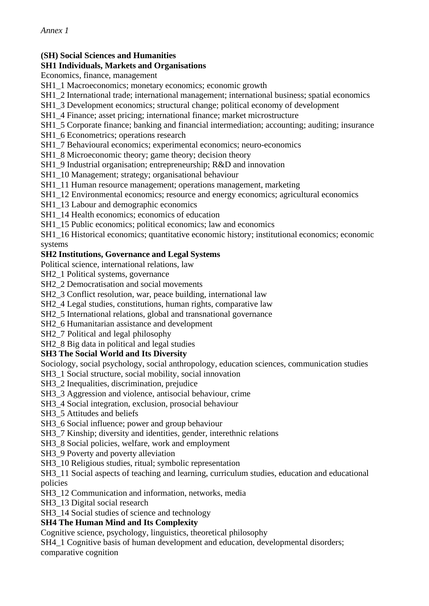# **(SH) Social Sciences and Humanities**

#### **SH1 Individuals, Markets and Organisations**

Economics, finance, management

- SH1\_1 Macroeconomics; monetary economics; economic growth
- SH1\_2 International trade; international management; international business; spatial economics
- SH1\_3 Development economics; structural change; political economy of development
- SH1\_4 Finance; asset pricing; international finance; market microstructure
- SH1\_5 Corporate finance; banking and financial intermediation; accounting; auditing; insurance
- SH1\_6 Econometrics; operations research
- SH1\_7 Behavioural economics; experimental economics; neuro-economics
- SH1\_8 Microeconomic theory; game theory; decision theory
- SH1\_9 Industrial organisation; entrepreneurship; R&D and innovation
- SH1\_10 Management; strategy; organisational behaviour
- SH1\_11 Human resource management; operations management, marketing
- SH1\_12 Environmental economics; resource and energy economics; agricultural economics
- SH1\_13 Labour and demographic economics
- SH1\_14 Health economics; economics of education
- SH1 15 Public economics; political economics; law and economics

SH1\_16 Historical economics; quantitative economic history; institutional economics; economic systems

#### **SH2 Institutions, Governance and Legal Systems**

Political science, international relations, law

- SH<sub>2</sub> 1 Political systems, governance
- SH2\_2 Democratisation and social movements
- SH2\_3 Conflict resolution, war, peace building, international law
- SH2\_4 Legal studies, constitutions, human rights, comparative law
- SH2\_5 International relations, global and transnational governance
- SH2\_6 Humanitarian assistance and development
- SH2\_7 Political and legal philosophy
- SH<sub>2</sub> 8 Big data in political and legal studies

## **SH3 The Social World and Its Diversity**

Sociology, social psychology, social anthropology, education sciences, communication studies

SH3\_1 Social structure, social mobility, social innovation

- SH3<sup>2</sup> Inequalities, discrimination, prejudice
- SH3\_3 Aggression and violence, antisocial behaviour, crime
- SH3\_4 Social integration, exclusion, prosocial behaviour
- SH3\_5 Attitudes and beliefs
- SH3\_6 Social influence; power and group behaviour
- SH3\_7 Kinship; diversity and identities, gender, interethnic relations
- SH3<sub>8</sub> Social policies, welfare, work and employment
- SH3\_9 Poverty and poverty alleviation
- SH3\_10 Religious studies, ritual; symbolic representation

SH3\_11 Social aspects of teaching and learning, curriculum studies, education and educational policies

SH3\_12 Communication and information, networks, media

SH3\_13 Digital social research

SH3\_14 Social studies of science and technology

## **SH4 The Human Mind and Its Complexity**

Cognitive science, psychology, linguistics, theoretical philosophy

SH4\_1 Cognitive basis of human development and education, developmental disorders; comparative cognition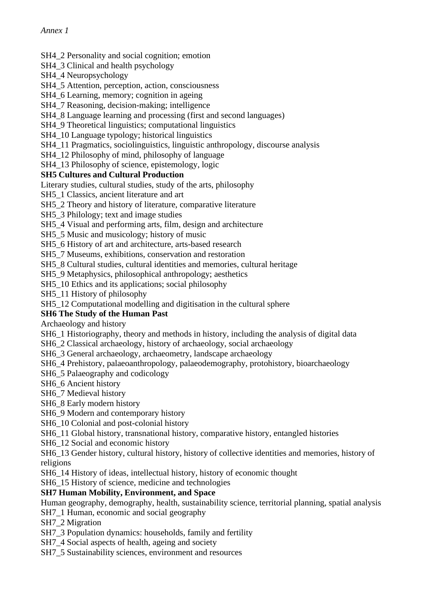#### SH4 2 Personality and social cognition; emotion

SH4\_3 Clinical and health psychology

SH4\_4 Neuropsychology

SH4\_5 Attention, perception, action, consciousness

SH4 6 Learning, memory; cognition in ageing

SH4\_7 Reasoning, decision-making; intelligence

SH4  $\,8$  Language learning and processing (first and second languages)

SH4\_9 Theoretical linguistics; computational linguistics

SH4\_10 Language typology; historical linguistics

SH4\_11 Pragmatics, sociolinguistics, linguistic anthropology, discourse analysis

SH4\_12 Philosophy of mind, philosophy of language

SH4\_13 Philosophy of science, epistemology, logic

#### **SH5 Cultures and Cultural Production**

Literary studies, cultural studies, study of the arts, philosophy

SH5<sup>1</sup> Classics, ancient literature and art

SH5\_2 Theory and history of literature, comparative literature

SH5\_3 Philology; text and image studies

SH5\_4 Visual and performing arts, film, design and architecture

SH5\_5 Music and musicology; history of music

SH5\_6 History of art and architecture, arts-based research

SH5\_7 Museums, exhibitions, conservation and restoration

SH5<sub>8</sub> Cultural studies, cultural identities and memories, cultural heritage

SH5\_9 Metaphysics, philosophical anthropology; aesthetics

SH5\_10 Ethics and its applications; social philosophy

SH5\_11 History of philosophy

SH5\_12 Computational modelling and digitisation in the cultural sphere

## **SH6 The Study of the Human Past**

Archaeology and history

SH6\_1 Historiography, theory and methods in history, including the analysis of digital data

SH6\_2 Classical archaeology, history of archaeology, social archaeology

SH6\_3 General archaeology, archaeometry, landscape archaeology

SH6\_4 Prehistory, palaeoanthropology, palaeodemography, protohistory, bioarchaeology

SH6\_5 Palaeography and codicology

SH6\_6 Ancient history

SH6\_7 Medieval history

SH6\_8 Early modern history

SH6\_9 Modern and contemporary history

SH6<sup>10</sup> Colonial and post-colonial history

SH6\_11 Global history, transnational history, comparative history, entangled histories

SH6\_12 Social and economic history

SH6\_13 Gender history, cultural history, history of collective identities and memories, history of religions

SH6\_14 History of ideas, intellectual history, history of economic thought

SH6 15 History of science, medicine and technologies

## **SH7 Human Mobility, Environment, and Space**

Human geography, demography, health, sustainability science, territorial planning, spatial analysis

SH7\_1 Human, economic and social geography

SH7\_2 Migration

SH7\_3 Population dynamics: households, family and fertility

SH7\_4 Social aspects of health, ageing and society

SH7\_5 Sustainability sciences, environment and resources